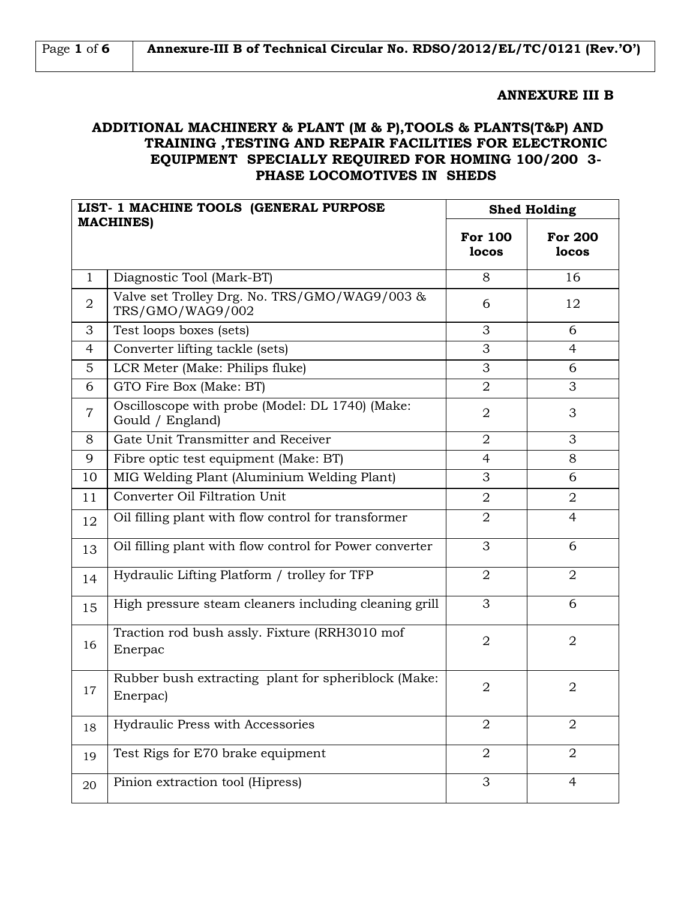| Page 1 of $6$ | Annexure-III B of Technical Circular No. RDSO/2012/EL/TC/0121 (Rev.'O') |
|---------------|-------------------------------------------------------------------------|
|---------------|-------------------------------------------------------------------------|

### **ANNEXURE III B**

## **ADDITIONAL MACHINERY & PLANT (M & P),TOOLS & PLANTS(T&P) AND TRAINING ,TESTING AND REPAIR FACILITIES FOR ELECTRONIC EQUIPMENT SPECIALLY REQUIRED FOR HOMING 100/200 3- PHASE LOCOMOTIVES IN SHEDS**

| LIST- 1 MACHINE TOOLS (GENERAL PURPOSE |                                                                     | <b>Shed Holding</b>     |                         |
|----------------------------------------|---------------------------------------------------------------------|-------------------------|-------------------------|
|                                        | <b>MACHINES)</b>                                                    | <b>For 100</b><br>locos | <b>For 200</b><br>locos |
| $\mathbf{1}$                           | Diagnostic Tool (Mark-BT)                                           | 8                       | 16                      |
| $\overline{2}$                         | Valve set Trolley Drg. No. TRS/GMO/WAG9/003 &<br>TRS/GMO/WAG9/002   | 6                       | 12                      |
| 3                                      | Test loops boxes (sets)                                             | 3                       | 6                       |
| 4                                      | Converter lifting tackle (sets)                                     | 3                       | 4                       |
| 5                                      | LCR Meter (Make: Philips fluke)                                     | 3                       | 6                       |
| 6                                      | GTO Fire Box (Make: BT)                                             | $\overline{2}$          | 3                       |
| $\overline{7}$                         | Oscilloscope with probe (Model: DL 1740) (Make:<br>Gould / England) | $\overline{2}$          | 3                       |
| 8                                      | Gate Unit Transmitter and Receiver                                  | $\overline{2}$          | 3                       |
| 9                                      | Fibre optic test equipment (Make: BT)                               | $\overline{4}$          | 8                       |
| 10                                     | MIG Welding Plant (Aluminium Welding Plant)                         | 3                       | 6                       |
| 11                                     | Converter Oil Filtration Unit                                       | $\overline{2}$          | $\overline{2}$          |
| 12                                     | Oil filling plant with flow control for transformer                 | $\overline{2}$          | 4                       |
| 13                                     | Oil filling plant with flow control for Power converter             | 3                       | 6                       |
| 14                                     | Hydraulic Lifting Platform / trolley for TFP                        | $\overline{2}$          | $\overline{2}$          |
| 15                                     | High pressure steam cleaners including cleaning grill               | 3                       | 6                       |
| 16                                     | Traction rod bush assly. Fixture (RRH3010 mof<br>Enerpac            | 2                       | $\overline{2}$          |
| 17                                     | Rubber bush extracting plant for spheriblock (Make:<br>Enerpac)     | $\overline{2}$          | 2                       |
| 18                                     | Hydraulic Press with Accessories                                    | $\overline{2}$          | $\overline{2}$          |
| 19                                     | Test Rigs for E70 brake equipment                                   | $\overline{2}$          | $\overline{2}$          |
| 20                                     | Pinion extraction tool (Hipress)                                    | 3                       | $\overline{4}$          |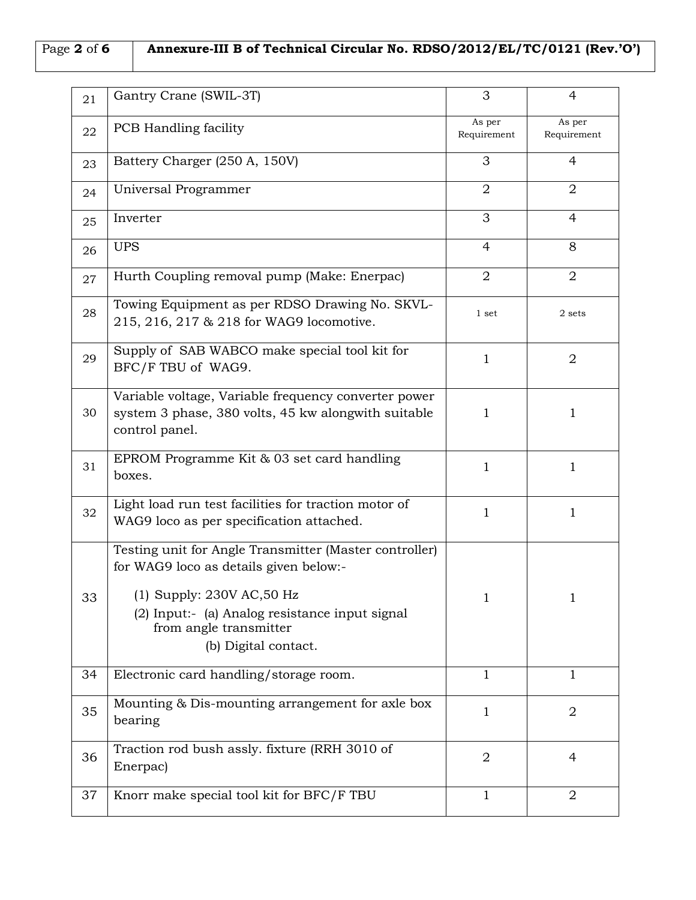# Page **2** of **6 Annexure-III B of Technical Circular No. RDSO/2012/EL/TC/0121 (Rev.'O')**

| 21 | Gantry Crane (SWIL-3T)                                                                                                                                                                                                               | 3                     | 4                     |
|----|--------------------------------------------------------------------------------------------------------------------------------------------------------------------------------------------------------------------------------------|-----------------------|-----------------------|
| 22 | <b>PCB</b> Handling facility                                                                                                                                                                                                         | As per<br>Requirement | As per<br>Requirement |
| 23 | Battery Charger (250 A, 150V)                                                                                                                                                                                                        | 3                     | 4                     |
| 24 | Universal Programmer                                                                                                                                                                                                                 | $\overline{2}$        | $\overline{2}$        |
| 25 | Inverter                                                                                                                                                                                                                             | 3                     | 4                     |
| 26 | <b>UPS</b>                                                                                                                                                                                                                           | 4                     | 8                     |
| 27 | Hurth Coupling removal pump (Make: Enerpac)                                                                                                                                                                                          | $\overline{2}$        | $\overline{2}$        |
| 28 | Towing Equipment as per RDSO Drawing No. SKVL-<br>215, 216, 217 & 218 for WAG9 locomotive.                                                                                                                                           | 1 set                 | 2 sets                |
| 29 | Supply of SAB WABCO make special tool kit for<br>BFC/F TBU of WAG9.                                                                                                                                                                  | $\mathbf{1}$          | $\overline{2}$        |
| 30 | Variable voltage, Variable frequency converter power<br>system 3 phase, 380 volts, 45 kw alongwith suitable<br>control panel.                                                                                                        | 1                     | $\mathbf{1}$          |
| 31 | EPROM Programme Kit & 03 set card handling<br>boxes.                                                                                                                                                                                 | $\mathbf{1}$          | $\mathbf{1}$          |
| 32 | Light load run test facilities for traction motor of<br>WAG9 loco as per specification attached.                                                                                                                                     | 1                     | $\mathbf{1}$          |
| 33 | Testing unit for Angle Transmitter (Master controller)<br>for WAG9 loco as details given below:-<br>$(1)$ Supply: 230V AC, 50 Hz<br>(2) Input:- (a) Analog resistance input signal<br>from angle transmitter<br>(b) Digital contact. | 1                     | $\mathbf{1}$          |
| 34 | Electronic card handling/storage room.                                                                                                                                                                                               | 1                     | $\mathbf{1}$          |
| 35 | Mounting & Dis-mounting arrangement for axle box<br>bearing                                                                                                                                                                          | 1                     | 2                     |
| 36 | Traction rod bush assly. fixture (RRH 3010 of<br>Enerpac)                                                                                                                                                                            | $\overline{2}$        | 4                     |
| 37 | Knorr make special tool kit for BFC/F TBU                                                                                                                                                                                            | 1                     | 2                     |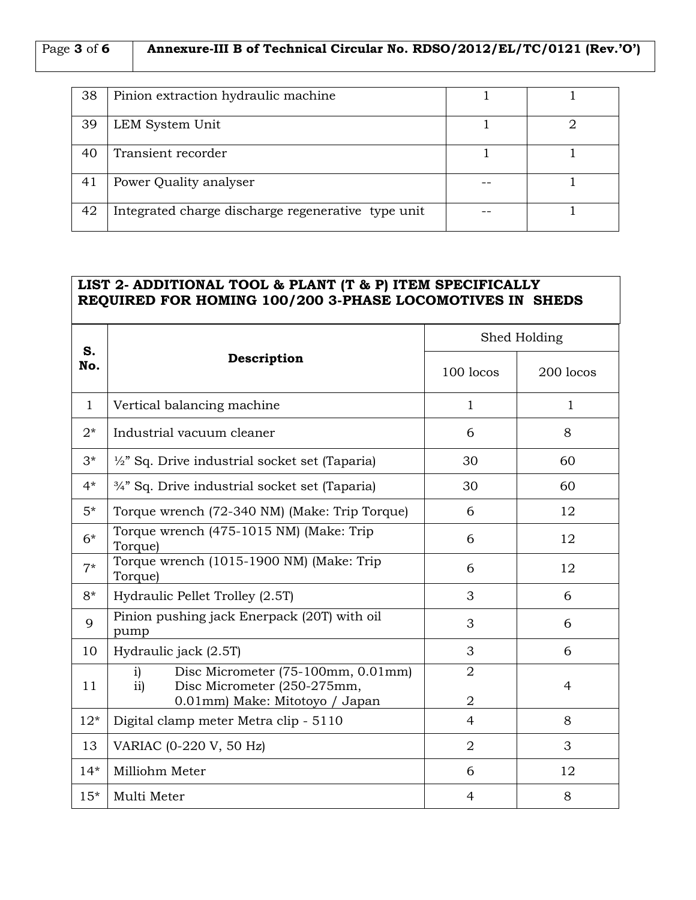| 38 | Pinion extraction hydraulic machine                |  |
|----|----------------------------------------------------|--|
| 39 | LEM System Unit                                    |  |
| 40 | Transient recorder                                 |  |
| 41 | Power Quality analyser                             |  |
| 42 | Integrated charge discharge regenerative type unit |  |

## **LIST 2- ADDITIONAL TOOL & PLANT (T & P) ITEM SPECIFICALLY REQUIRED FOR HOMING 100/200 3-PHASE LOCOMOTIVES IN SHEDS**

| S.           | Description                                                                                                      | Shed Holding                     |                |
|--------------|------------------------------------------------------------------------------------------------------------------|----------------------------------|----------------|
| No.          |                                                                                                                  | 100 locos                        | 200 locos      |
| $\mathbf{1}$ | Vertical balancing machine                                                                                       | 1                                | $\mathbf{1}$   |
| $2^*$        | Industrial vacuum cleaner                                                                                        | 6                                | 8              |
| $3^*$        | $\frac{1}{2}$ " Sq. Drive industrial socket set (Taparia)                                                        | 30                               | 60             |
| $4*$         | 3/4" Sq. Drive industrial socket set (Taparia)                                                                   | 30                               | 60             |
| $5*$         | Torque wrench (72-340 NM) (Make: Trip Torque)                                                                    | 6                                | 12             |
| $6*$         | Torque wrench (475-1015 NM) (Make: Trip<br>Torque)                                                               | 6                                | 12             |
| $7*$         | Torque wrench (1015-1900 NM) (Make: Trip<br>Torque)                                                              | 6                                | 12             |
| $8*$         | Hydraulic Pellet Trolley (2.5T)                                                                                  | 3                                | 6              |
| 9            | Pinion pushing jack Enerpack (20T) with oil<br>pump                                                              | 3                                | 6              |
| 10           | Hydraulic jack (2.5T)                                                                                            | 3                                | 6              |
| 11           | Disc Micrometer (75-100mm, 0.01mm)<br>i)<br>Disc Micrometer (250-275mm,<br>ii)<br>0.01mm) Make: Mitotoyo / Japan | $\overline{2}$<br>$\overline{2}$ | $\overline{4}$ |
| $12*$        | Digital clamp meter Metra clip - 5110                                                                            | $\overline{4}$                   | 8              |
| 13           | VARIAC (0-220 V, 50 Hz)                                                                                          | $\overline{2}$                   | 3              |
| $14*$        | Milliohm Meter                                                                                                   | 6                                | 12             |
| $15*$        | Multi Meter                                                                                                      | 4                                | 8              |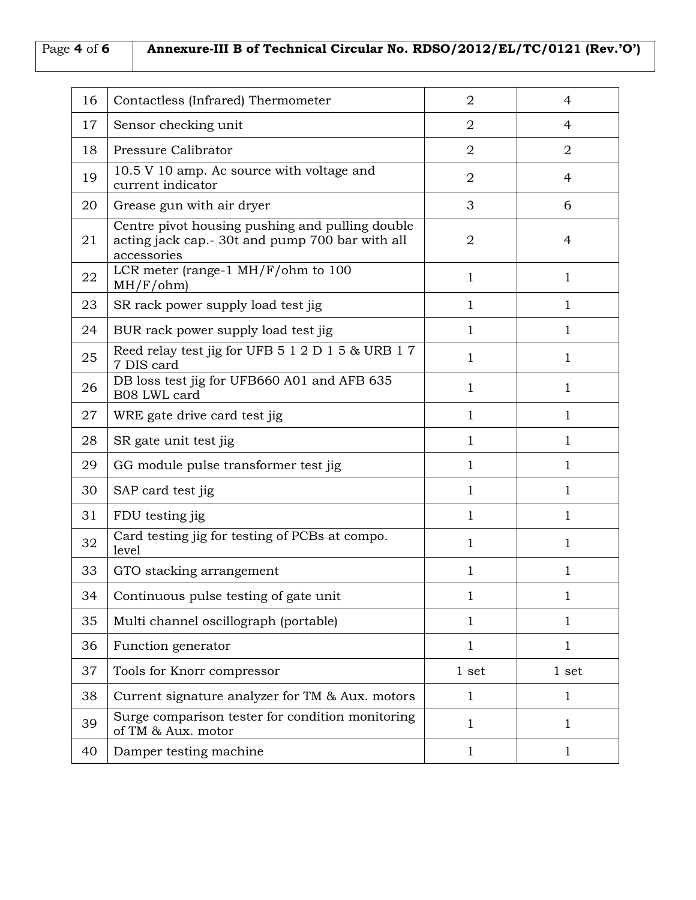# Page **4** of **6 Annexure-III B of Technical Circular No. RDSO/2012/EL/TC/0121 (Rev.'O')**

| 16 | Contactless (Infrared) Thermometer                                                                                | $\overline{2}$ | 4              |
|----|-------------------------------------------------------------------------------------------------------------------|----------------|----------------|
| 17 | Sensor checking unit                                                                                              | $\overline{2}$ | 4              |
| 18 | Pressure Calibrator                                                                                               | $\overline{2}$ | $\overline{2}$ |
| 19 | 10.5 V 10 amp. Ac source with voltage and<br>current indicator                                                    | $\overline{2}$ | $\overline{4}$ |
| 20 | Grease gun with air dryer                                                                                         | 3              | 6              |
| 21 | Centre pivot housing pushing and pulling double<br>acting jack cap.- 30t and pump 700 bar with all<br>accessories | $\overline{2}$ | $\overline{4}$ |
| 22 | LCR meter (range-1 $MH/F/ohm$ to 100<br>MH/F/ohm)                                                                 | $\mathbf{1}$   | 1              |
| 23 | SR rack power supply load test jig                                                                                | 1              | $\mathbf 1$    |
| 24 | BUR rack power supply load test jig                                                                               | 1              | $\mathbf{1}$   |
| 25 | Reed relay test jig for UFB 5 1 2 D 1 5 & URB 1 7<br>7 DIS card                                                   | $\mathbf{1}$   | $\mathbf{1}$   |
| 26 | DB loss test jig for UFB660 A01 and AFB 635<br>B08 LWL card                                                       | 1              | $\mathbf{1}$   |
| 27 | WRE gate drive card test jig                                                                                      | 1              | 1              |
| 28 | SR gate unit test jig                                                                                             | 1              | 1              |
| 29 | GG module pulse transformer test jig                                                                              | $\mathbf{1}$   | 1              |
| 30 | SAP card test jig                                                                                                 | $\mathbf{1}$   | 1              |
| 31 | FDU testing jig                                                                                                   | 1              | 1              |
| 32 | Card testing jig for testing of PCBs at compo.<br>level                                                           | 1              | 1              |
| 33 | GTO stacking arrangement                                                                                          | 1              | 1              |
| 34 | Continuous pulse testing of gate unit                                                                             | 1              | 1              |
| 35 | Multi channel oscillograph (portable)                                                                             | $\mathbf{1}$   | 1              |
| 36 | Function generator                                                                                                | 1              | 1              |
| 37 | Tools for Knorr compressor                                                                                        | 1 set          | 1 set          |
| 38 | Current signature analyzer for TM & Aux. motors                                                                   | $\mathbf{1}$   | 1              |
| 39 | Surge comparison tester for condition monitoring<br>of TM & Aux. motor                                            | 1              | 1              |
| 40 | Damper testing machine                                                                                            | $\mathbf{1}$   | $\mathbf{1}$   |
|    |                                                                                                                   |                |                |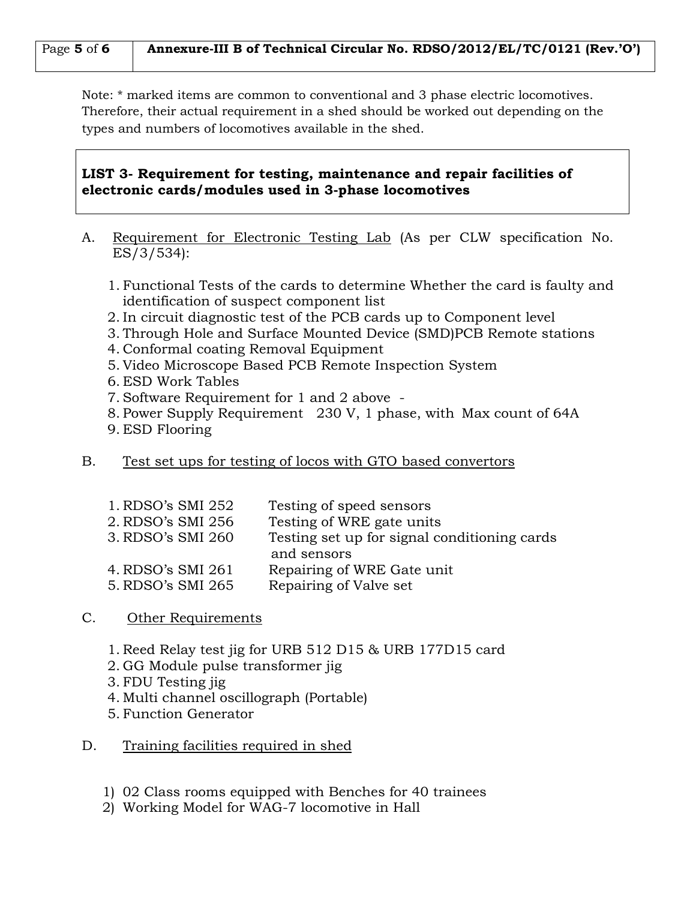| Page 5 of 6   Annexure-III B of Technical Circular No. RDSO/2012/EL/TC/0121 (Rev.'O') |  |
|---------------------------------------------------------------------------------------|--|
|---------------------------------------------------------------------------------------|--|

Note: \* marked items are common to conventional and 3 phase electric locomotives. Therefore, their actual requirement in a shed should be worked out depending on the types and numbers of locomotives available in the shed.

### **LIST 3- Requirement for testing, maintenance and repair facilities of electronic cards/modules used in 3-phase locomotives**

- A. Requirement for Electronic Testing Lab (As per CLW specification No. ES/3/534):
	- 1. Functional Tests of the cards to determine Whether the card is faulty and identification of suspect component list
	- 2. In circuit diagnostic test of the PCB cards up to Component level
	- 3. Through Hole and Surface Mounted Device (SMD)PCB Remote stations
	- 4. Conformal coating Removal Equipment
	- 5. Video Microscope Based PCB Remote Inspection System
	- 6. ESD Work Tables
	- 7. Software Requirement for 1 and 2 above -
	- 8. Power Supply Requirement 230 V, 1 phase, with Max count of 64A
	- 9. ESD Flooring
- B. Test set ups for testing of locos with GTO based convertors

| 1. RDSO's SMI 252 | Testing of speed sensors                     |
|-------------------|----------------------------------------------|
| 2. RDSO's SMI 256 | Testing of WRE gate units                    |
| 3. RDSO's SMI 260 | Testing set up for signal conditioning cards |
|                   | and sensors                                  |
| 4. RDSO's SMI 261 | Repairing of WRE Gate unit                   |
| 5. RDSO's SMI 265 | Repairing of Valve set                       |
|                   |                                              |

## C. Other Requirements

- 1. Reed Relay test jig for URB 512 D15 & URB 177D15 card
- 2. GG Module pulse transformer jig
- 3. FDU Testing jig
- 4. Multi channel oscillograph (Portable)
- 5. Function Generator
- D. Training facilities required in shed
	- 1) 02 Class rooms equipped with Benches for 40 trainees
	- 2) Working Model for WAG-7 locomotive in Hall